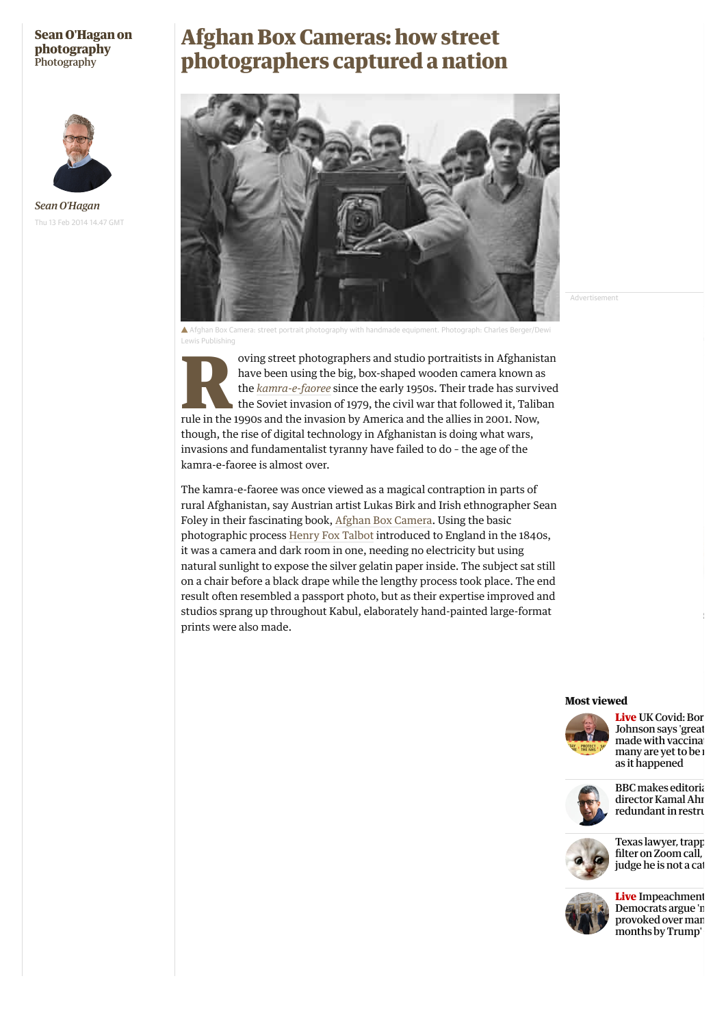### **[Sean O'Hagan on](https://www.theguardian.com/artanddesign/series/sean-o-hagan-on-photography) photography [Photography](https://www.theguardian.com/artanddesign/photography)**



*Sean O'Hagan* Thu 13 Feb 2014 14.47 GMT

# **Afghan Box Cameras: how street photographers captured a nation**



Advertisement

Afghan Box Camera: street portrait photography with handmade equipment. Photograph: Charles Berger/Dewi Lewis Publishing

oving street photographers and studio portraitists in Afghanistan<br>have been using the big, box-shaped wooden camera known as<br>the *kamra-e-faoree* since the early 1950s. Their trade has survived<br>the Soviet invasion of 1979, have been using the big, box-shaped wooden camera known as the *[kamra-e-faoree](http://www.afghanboxcamera.com/abcp_about_bcp.htm)* since the early 1950s. Their trade has survived the Soviet invasion of 1979, the civil war that followed it, Taliban rule in the 1990s and the invasion by America and the allies in 2001. Now, though, the rise of digital technology in Afghanistan is doing what wars, invasions and fundamentalist tyranny have failed to do – the age of the kamra-e-faoree is almost over.

The kamra-e-faoree was once viewed as a magical contraption in parts of rural Afghanistan, say Austrian artist Lukas Birk and Irish ethnographer Sean Foley in their fascinating book, [Afghan Box Camera.](http://www.dewilewis.com/products/afghan-box-camera) Using the basic photographic process [Henry Fox Talbot](http://www.metmuseum.org/toah/hd/tlbt/hd_tlbt.htm) introduced to England in the 1840s, it was a camera and dark room in one, needing no electricity but using natural sunlight to expose the silver gelatin paper inside. The subject sat still on a chair before a black drape while the lengthy process took place. The end result often resembled a passport photo, but as their expertise improved and studios sprang up throughout Kabul, elaborately hand-painted large-format prints were also made.

#### **Most viewed**



**Live** UK Covid: Bor [Johnson says 'great](https://www.theguardian.com/politics/live/2021/feb/10/uk-covid-news-shapps-summer-holidays-abroad-travel-coronavirus-vaccine-live-latest-updates) made with vaccinations many are yet to be as it happened



**BBC** makes editoria director Kamal Ahr redundant in restru



[Texas lawyer, trapp](https://www.theguardian.com/us-news/2021/feb/09/texas-lawyer-zoom-cat-filter-kitten) filter on Zoom call, judge he is not a cat



**Live** Impeachment Democrats argue 'n provoked over man months by Trump'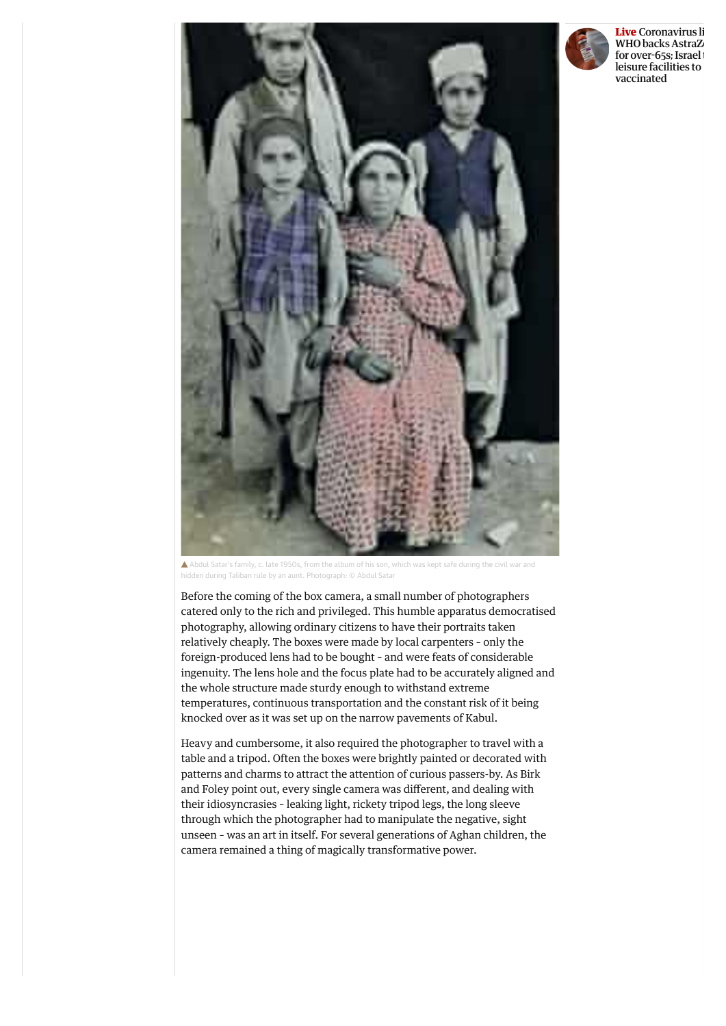

**Live** Coronavirus li WHO backs AstraZ for over-65s; Israel leisure facilities to vaccinated

Abdul Satar's family, c. late 1950s, from the album of his son, which was kept safe during the civil war and hidden during Taliban rule by an aunt. Photograph: © Abdul Satar

Before the coming of the box camera, a small number of photographers catered only to the rich and privileged. This humble apparatus democratised photography, allowing ordinary citizens to have their portraits taken relatively cheaply. The boxes were made by local carpenters – only the foreign-produced lens had to be bought – and were feats of considerable ingenuity. The lens hole and the focus plate had to be accurately aligned and the whole structure made sturdy enough to withstand extreme temperatures, continuous transportation and the constant risk of it being knocked over as it was set up on the narrow pavements of Kabul.

Heavy and cumbersome, it also required the photographer to travel with a table and a tripod. Often the boxes were brightly painted or decorated with patterns and charms to attract the attention of curious passers-by. As Birk and Foley point out, every single camera was different, and dealing with their idiosyncrasies – leaking light, rickety tripod legs, the long sleeve through which the photographer had to manipulate the negative, sight unseen – was an art in itself. For several generations of Aghan children, the camera remained a thing of magically transformative power.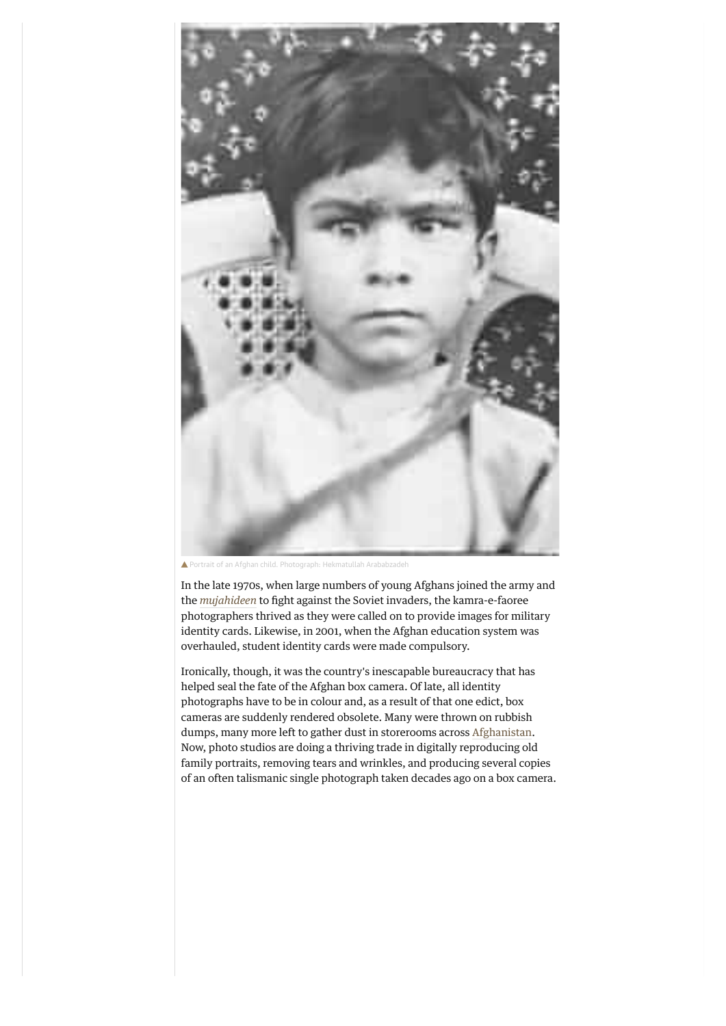

Portrait of an Afghan child. Photograph: Hekmatullah Arababzadeh

In the late 1970s, when large numbers of young Afghans joined the army and the [mujahideen](http://terrorism.about.com/od/m/g/Mujahideen.htm) to fight against the Soviet invaders, the kamra-e-faoree photographers thrived as they were called on to provide images for military identity cards. Likewise, in 2001, when the Afghan education system was overhauled, student identity cards were made compulsory.

Ironically, though, it was the country's inescapable bureaucracy that has helped seal the fate of the Afghan box camera. Of late, all identity photographs have to be in colour and, as a result of that one edict, box cameras are suddenly rendered obsolete. Many were thrown on rubbish dumps, many more left to gather dust in storerooms across [Afghanistan](https://www.theguardian.com/world/afghanistan). Now, photo studios are doing a thriving trade in digitally reproducing old family portraits, removing tears and wrinkles, and producing several copies of an often talismanic single photograph taken decades ago on a box camera.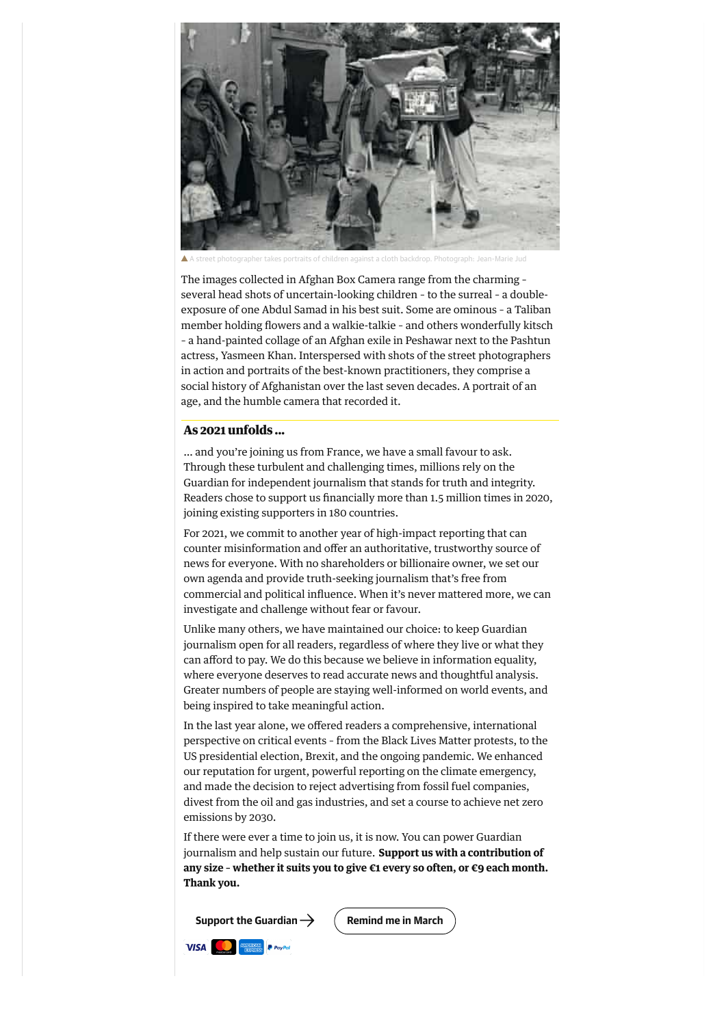

a straet photographer takes portraits and children and children and a cloth backdrop. Photographs. P

The images collected in Afghan Box Camera range from the charming – several head shots of uncertain-looking children – to the surreal – a doubleexposure of one Abdul Samad in his best suit. Some are ominous – a Taliban member holding flowers and a walkie-talkie – and others wonderfully kitsch – a hand-painted collage of an Afghan exile in Peshawar next to the Pashtun

actress, Yasmeen Khan. Interspersed with shots of the street photographers in action and portraits of the best-known practitioners, they comprise a social history of Afghanistan over the last seven decades. A portrait of an age, and the humble camera that recorded it.

#### **As 2021 unfolds ...**

… and you're joining us from France, we have a small favour to ask. Through these turbulent and challenging times, millions rely on the Guardian for independent journalism that stands for truth and integrity. Readers chose to support us financially more than 1.5 million times in 2020, joining existing supporters in 180 countries.

For 2021, we commit to another year of high-impact reporting that can counter misinformation and offer an authoritative, trustworthy source of news for everyone. With no shareholders or billionaire owner, we set our own agenda and provide truth-seeking journalism that's free from commercial and political influence. When it's never mattered more, we can investigate and challenge without fear or favour.

Unlike many others, we have maintained our choice: to keep Guardian journalism open for all readers, regardless of where they live or what they can afford to pay. We do this because we believe in information equality, where everyone deserves to read accurate news and thoughtful analysis. Greater numbers of people are staying well-informed on world events, and being inspired to take meaningful action.

In the last year alone, we offered readers a comprehensive, international perspective on critical events – from the Black Lives Matter protests, to the US presidential election, Brexit, and the ongoing pandemic. We enhanced our reputation for urgent, powerful reporting on the climate emergency, and made the decision to reject advertising from fossil fuel companies, divest from the oil and gas industries, and set a course to achieve net zero emissions by 2030.

If there were ever a time to join us, it is now. You can power Guardian journalism and help sustain our future. **Support us with a contribution of any size – whether it suits you to give €1 every so often, or €9 each month. Thank you.**

**[Support the Guardian](https://support.theguardian.com/eu/contribute?REFPVID=kkztmeg1va0aou0e0tbf&INTCMP=gdnwb_copts_memco_2021-02-08_RECURRING_R1_PRICE__EUROWCA_NO_ARTICLE_COUNT_V3_BALANCED&acquisitionData=%7B%22source%22%3A%22GUARDIAN_WEB%22%2C%22componentId%22%3A%22gdnwb_copts_memco_2021-02-08_RECURRING_R1_PRICE__EUROWCA_NO_ARTICLE_COUNT_V3_BALANCED%22%2C%22componentType%22%3A%22ACQUISITIONS_EPIC%22%2C%22campaignCode%22%3A%22gdnwb_copts_memco_2021-02-08_RECURRING_R1_PRICE__EUROWCA_NO_ARTICLE_COUNT_V3_BALANCED%22%2C%22abTest%22%3A%7B%22name%22%3A%222021-02-08_RECURRING_R1_PRICE__EUROWCA_NO_ARTICLE_COUNT%22%2C%22variant%22%3A%22V3_BALANCED%22%7D%2C%22referrerPageviewId%22%3A%22kkztmeg1va0aou0e0tbf%22%2C%22referrerUrl%22%3A%22https%3A%2F%2Fwww.theguardian.com%2Fartanddesign%2F2014%2Ffeb%2F13%2Fafghanistan-street-photography-box-camera-project%22%2C%22isRemote%22%3Atrue%7D)**  $\rightarrow$  **(Remind me in March** 

**VISA** *<u>EXERICIN* **P** *PayPal*</u>